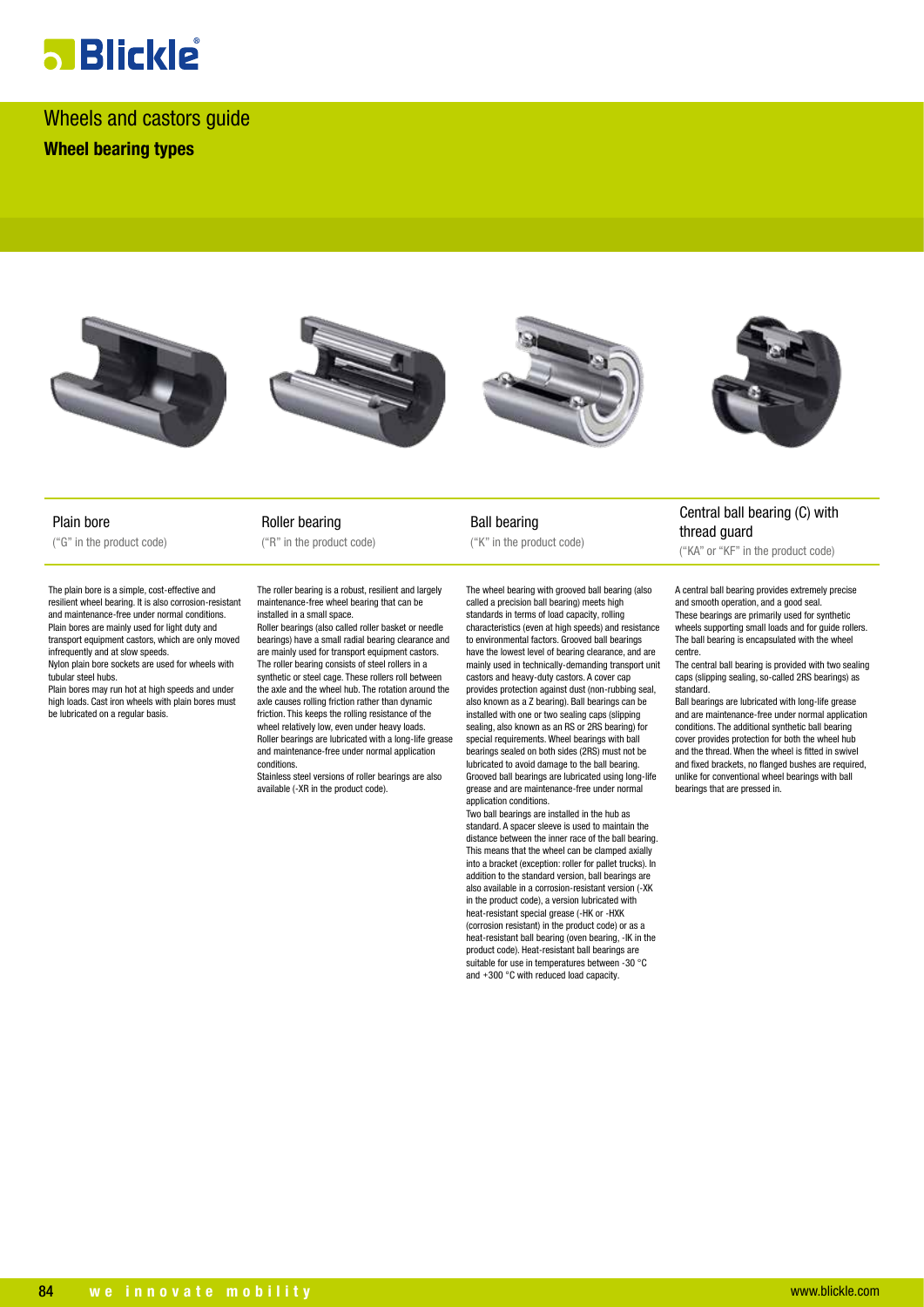# **a** Blickle

Wheels and castors guide **Wheel bearing types**









Plain bore ("G" in the product code)

The plain bore is a simple, cost-effective and resilient wheel bearing. It is also corrosion-resistant and maintenance-free under normal conditions. Plain bores are mainly used for light duty and transport equipment castors, which are only moved infrequently and at slow speeds. Nylon plain bore sockets are used for wheels with tubular steel hubs.

Plain bores may run hot at high speeds and under high loads. Cast iron wheels with plain bores must be lubricated on a regular basis.

Roller bearing ("R" in the product code)

The roller bearing is a robust, resilient and largely maintenance-free wheel bearing that can be installed in a small space.

Roller bearings (also called roller basket or needle bearings) have a small radial bearing clearance and are mainly used for transport equipment castors. The roller bearing consists of steel rollers in a synthetic or steel cage. These rollers roll between the axle and the wheel hub. The rotation around the axle causes rolling friction rather than dynamic friction. This keeps the rolling resistance of the wheel relatively low, even under heavy loads. Roller bearings are lubricated with a long-life grease and maintenance-free under normal application conditions.

Stainless steel versions of roller bearings are also available (-XR in the product code).

Ball bearing ("K" in the product code)

The wheel bearing with grooved ball bearing (also called a precision ball bearing) meets high standards in terms of load capacity, rolling characteristics (even at high speeds) and resistance to environmental factors. Grooved ball bearings have the lowest level of bearing clearance, and are mainly used in technically-demanding transport unit castors and heavy-duty castors. A cover cap provides protection against dust (non-rubbing seal, also known as a Z bearing). Ball bearings can be installed with one or two sealing caps (slipping sealing, also known as an RS or 2RS bearing) for special requirements. Wheel bearings with ball bearings sealed on both sides (2RS) must not be lubricated to avoid damage to the ball bearing. Grooved ball bearings are lubricated using long-life grease and are maintenance-free under normal application conditions.

Two ball bearings are installed in the hub as standard. A spacer sleeve is used to maintain the distance between the inner race of the ball bearing. This means that the wheel can be clamped axially into a bracket (exception: roller for pallet trucks). In addition to the standard version, ball bearings are also available in a corrosion-resistant version (-XK in the product code), a version lubricated with heat-resistant special grease (-HK or -HXK (corrosion resistant) in the product code) or as a heat-resistant ball bearing (oven bearing, -IK in the product code). Heat-resistant ball bearings are suitable for use in temperatures between -30 °C and +300 °C with reduced load capacity.

### Central ball bearing (C) with thread guard

("KA" or "KF" in the product code)

A central ball bearing provides extremely precise and smooth operation, and a good seal. These bearings are primarily used for synthetic wheels supporting small loads and for guide rollers. The ball bearing is encapsulated with the wheel centre.

The central ball bearing is provided with two sealing caps (slipping sealing, so-called 2RS bearings) as standard.

Ball bearings are lubricated with long-life grease and are maintenance-free under normal application conditions. The additional synthetic ball bearing cover provides protection for both the wheel hub and the thread. When the wheel is fitted in swivel and fixed brackets, no flanged bushes are required, unlike for conventional wheel bearings with ball bearings that are pressed in.